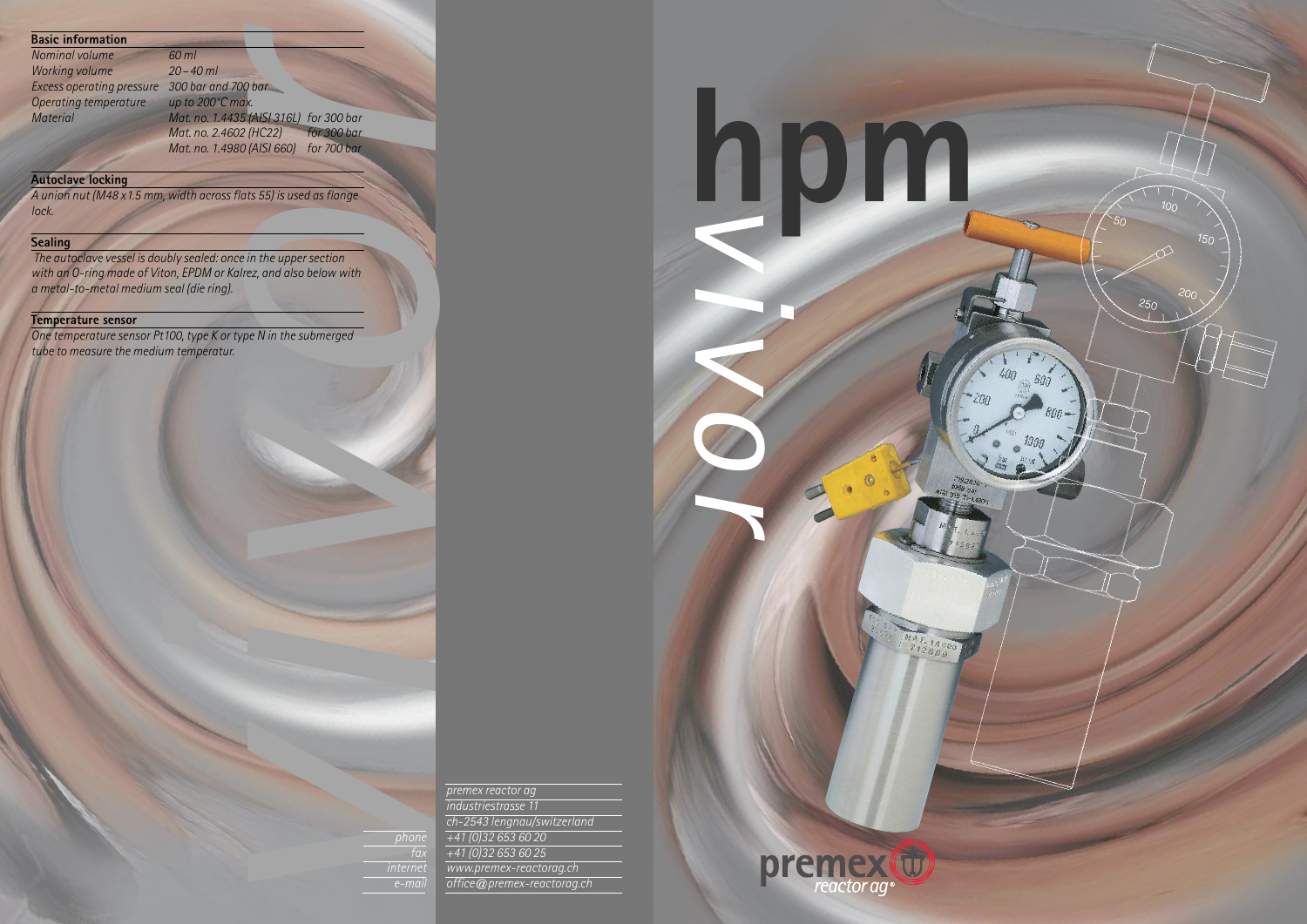*v*

**h**

*v*



*i*

*v*

*o*

**r** 

MAT. 14980

U)

reactor ag

*vpremex reactor ag industriestrasse 11 ch-2543 lengnau/switzerland +41 (0)32 653 60 20 +41 (0)32 653 60 25 www.premex-reactorag.ch office@premex-reactorag.ch*

*phone fax internet e-mail*

## **Basic information**

| Nominal volume            |  |
|---------------------------|--|
| <b>Working volume</b>     |  |
| Excess operating pressure |  |
| Operating temperature     |  |
| <b>Material</b>           |  |
|                           |  |

*rx.*<br> *rx.*<br> *rx.*<br> *r* (*AISI 316L) for 300 bar<br>
<i>r* (*HC22) for 300 bar*<br> *r* (*AISI 660) for 700 bar Nominal volume 60 ml Working volume 20–40 ml Excess operating pressure 300 bar and 700 bar up* to 200°C *max. Material Mat. no. 1.4435 (AISI 316L) for 300 bar Mat. no. 2.4602 (HC22) for 300 bar Mat. no. 1.4980 (AISI 660) for 700 bar*

**i** 

*o* in the upper section<br>rez, and also below with<br>pe N in the submerged *The autoclave vessel is doubly sealed: once in the uppersection with an O-ring made of Viton, EPDM or Kalrez, and also below with a metal-to-metal medium seal (die ring).*

## **Autoclave locking**

*A union nut (M48 x1.5 mm, width acrossflats 55) is used asflange lock.*

## **Sealing**

## **Temperature sensor**

*One temperature sensor Pt100, type K or type N in the submerged tube to measure the medium temperatur.*